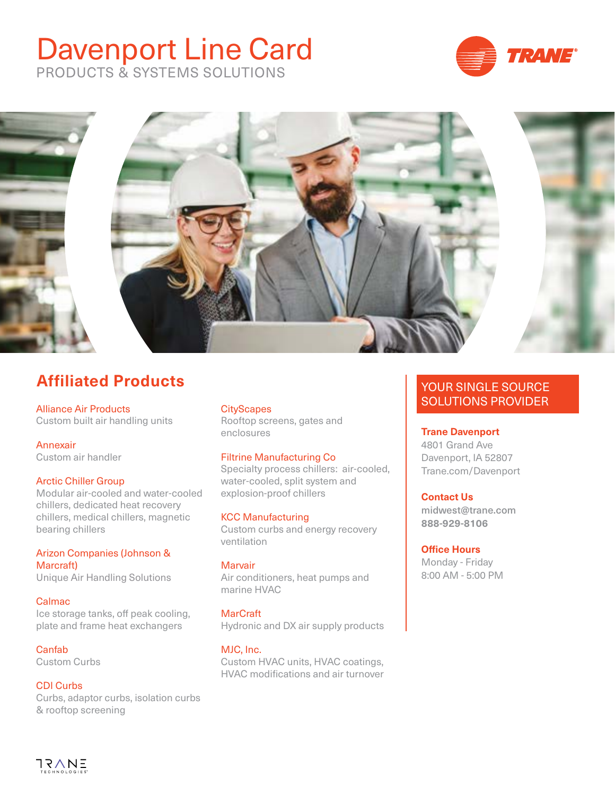# Davenport Line Card







# **Affiliated Products**

Alliance Air Products Custom built air handling units

Annexair Custom air handler

### Arctic Chiller Group

Modular air-cooled and water-cooled chillers, dedicated heat recovery chillers, medical chillers, magnetic bearing chillers

Arizon Companies (Johnson & Marcraft)

Unique Air Handling Solutions

### Calmac

Ice storage tanks, off peak cooling, plate and frame heat exchangers

Canfab Custom Curbs

### CDI Curbs

Curbs, adaptor curbs, isolation curbs & rooftop screening

### **CityScapes**

Rooftop screens, gates and enclosures

### Filtrine Manufacturing Co

Specialty process chillers: air-cooled, water-cooled, split system and explosion-proof chillers

KCC Manufacturing

Custom curbs and energy recovery ventilation

### Marvair

Air conditioners, heat pumps and marine HVAC

**MarCraft** Hydronic and DX air supply products

### MJC, Inc.

Custom HVAC units, HVAC coatings, HVAC modifications and air turnover

# YOUR SINGLE SOURCE SOLUTIONS PROVIDER

### **Trane Davenport**

4801 Grand Ave Davenport, IA 52807 Trane.com/Davenport

### **Contact Us**

midwest@trane.com **888-929-8106**

#### **Office Hours**

Monday - Friday 8:00 AM - 5:00 PM